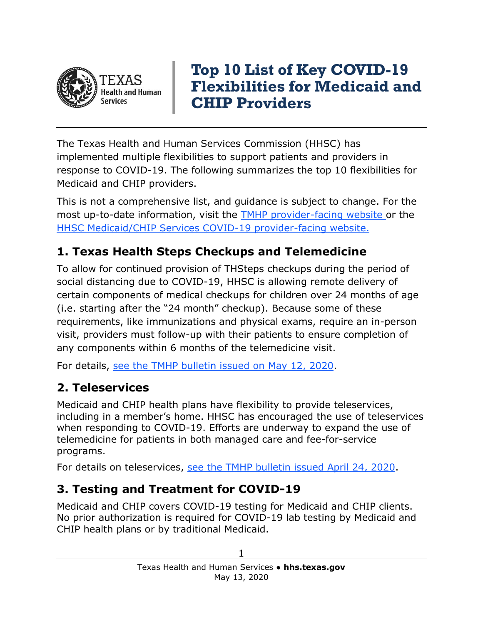

# **Top 10 List of Key COVID-19 Flexibilities for Medicaid and CHIP Providers**

The Texas Health and Human Services Commission (HHSC) has implemented multiple flexibilities to support patients and providers in response to COVID-19. The following summarizes the top 10 flexibilities for Medicaid and CHIP providers.

This is not a comprehensive list, and guidance is subject to change. For the most up-to-date information, visit the **TMHP** provider-facing website or the [HHSC Medicaid/CHIP Services COVID-19 provider-facing website.](https://hhs.texas.gov/services/health/coronavirus-covid-19/medicaid-chip-services-information-providers)

#### **1. Texas Health Steps Checkups and Telemedicine**

To allow for continued provision of THSteps checkups during the period of social distancing due to COVID-19, HHSC is allowing remote delivery of certain components of medical checkups for children over 24 months of age (i.e. starting after the "24 month" checkup). Because some of these requirements, like immunizations and physical exams, require an in-person visit, providers must follow-up with their patients to ensure completion of any components within 6 months of the telemedicine visit.

For details, [see the TMHP bulletin issued](http://www.tmhp.com/News_Items/2020/05-May/05-12-20%20Texas%20Health%20Steps%20Checkups%20Guidance%20Eff%20May%207,%202020-May%2031,%202020.pdf) on May 12, 2020.

#### **2. Teleservices**

Medicaid and CHIP health plans have flexibility to provide teleservices, including in a member's home. HHSC has encouraged the use of teleservices when responding to COVID-19. Efforts are underway to expand the use of telemedicine for patients in both managed care and fee-for-service programs.

For details on teleservices, [see the TMHP bulletin issued April 24, 2020.](http://www.tmhp.com/News_Items/2020/04-April/04-24-20%20Date%20of%20Service%20Extension%20for%20Telemedicine%20Physician-Delivered%20and%20Telehealth.pdf)

#### **3. Testing and Treatment for COVID-19**

Medicaid and CHIP covers COVID-19 testing for Medicaid and CHIP clients. No prior authorization is required for COVID-19 lab testing by Medicaid and CHIP health plans or by traditional Medicaid.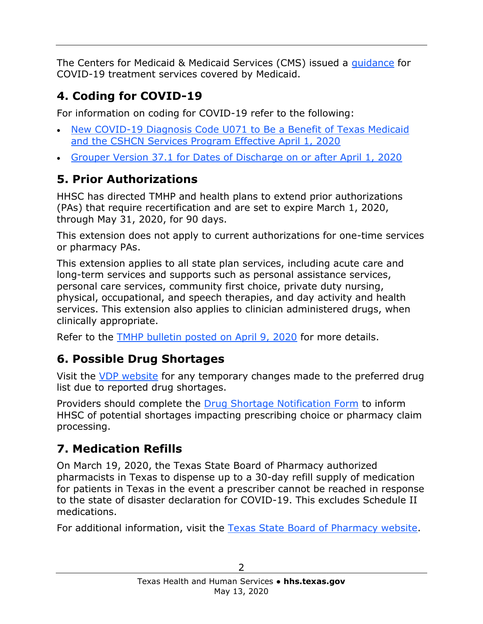The Centers for Medicaid & Medicaid Services (CMS) issued a [guidance](https://www.medicaid.gov/resources-for-states/disaster-response-toolkit/coronavirus-disease-2019-covid-19/index.html) for COVID-19 treatment services covered by Medicaid.

## **4. Coding for COVID-19**

For information on coding for COVID-19 refer to the following:

- [New COVID-19 Diagnosis Code U071 to Be a Benefit of Texas Medicaid](http://www.tmhp.com/News_Items/2020/03-March/03-27-20%20New%20COVID-19%20Diagnosis%20Code%20U071-Texas%20Medicaid%20-CSHCN-Eff-%20April%201,%202020.pdf)  [and the CSHCN Services Program Effective April 1, 2020](http://www.tmhp.com/News_Items/2020/03-March/03-27-20%20New%20COVID-19%20Diagnosis%20Code%20U071-Texas%20Medicaid%20-CSHCN-Eff-%20April%201,%202020.pdf)
- [Grouper Version 37.1 for Dates of Discharge on or after April 1, 2020](http://www.tmhp.com/News_Items/2020/04-April/04-08-20%20Update%20TMHP%20to%20Use%20Grouper%20Version%2037.1%20for%20Dates%20of%20Disch-4-1-20.pdf)

## **5. Prior Authorizations**

HHSC has directed TMHP and health plans to extend prior authorizations (PAs) that require recertification and are set to expire March 1, 2020, through May 31, 2020, for 90 days.

This extension does not apply to current authorizations for one-time services or pharmacy PAs.

This extension applies to all state plan services, including acute care and long-term services and supports such as personal assistance services, personal care services, community first choice, private duty nursing, physical, occupational, and speech therapies, and day activity and health services. This extension also applies to clinician administered drugs, when clinically appropriate.

Refer to the [TMHP bulletin posted on April 9, 2020](file:///C:/Users/RVanRamshorst01/Desktop/COVID-19/Top%2010%20List/To%20help%20ensure%20continuity%20of%20care%20during%20the%20COVID-19%20response,%20HHSC%20has%20directed%20TMHP%20to%20extend%20prior%20authorizations%20(PAs)%20that%20require%20recertification%20and%20are%20set%20to%20expire%20March%201,%202020,%20through%20May%2031,%202020%20for%2090%20days.) for more details.

# **6. Possible Drug Shortages**

Visit the [VDP website](https://www.txvendordrug.com/formulary) for any temporary changes made to the preferred drug list due to reported drug shortages.

Providers should complete the [Drug Shortage Notification Form](https://hhs.texas.gov/laws-regulations/forms/1000-1999/form-1315-drug-shortage-notification) to inform HHSC of potential shortages impacting prescribing choice or pharmacy claim processing.

## **7. Medication Refills**

On March 19, 2020, the Texas State Board of Pharmacy authorized pharmacists in Texas to dispense up to a 30-day refill supply of medication for patients in Texas in the event a prescriber cannot be reached in response to the state of disaster declaration for COVID-19. This excludes Schedule II medications.

For additional information, visit the [Texas State Board of Pharmacy website.](https://www.pharmacy.texas.gov/coronavirus/)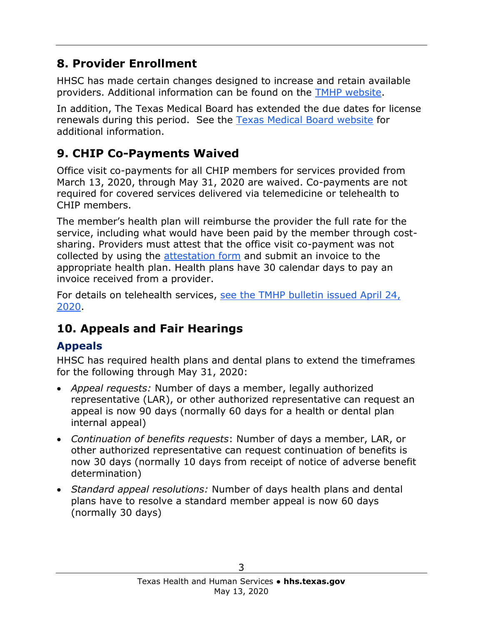### **8. Provider Enrollment**

HHSC has made certain changes designed to increase and retain available providers. Additional information can be found on the [TMHP website.](http://www.tmhp.com/Pages/ProviderEnrollment/PE_TX_Medicaid_New.aspx)

In addition, The Texas Medical Board has extended the due dates for license renewals during this period. See the [Texas Medical Board website](http://www.tmb.state.tx.us/) for additional information.

# **9. CHIP Co-Payments Waived**

Office visit co-payments for all CHIP members for services provided from March 13, 2020, through May 31, 2020 are waived. Co-payments are not required for covered services delivered via telemedicine or telehealth to CHIP members.

The member's health plan will reimburse the provider the full rate for the service, including what would have been paid by the member through costsharing. Providers must attest that the office visit co-payment was not collected by using the [attestation form](https://hhs.texas.gov/laws-regulations/forms/5000-5999/form-5004-optional-covid-19-chip-provider-co-payment-attestation) and submit an invoice to the appropriate health plan. Health plans have 30 calendar days to pay an invoice received from a provider.

For details on telehealth services, [see the TMHP bulletin issued April 24,](http://www.tmhp.com/News_Items/2020/04-April/04-24-20%20Date%20of%20Service%20Extension%20for%20Telemedicine%20Physician-Delivered%20and%20Telehealth.pdf)  [2020.](http://www.tmhp.com/News_Items/2020/04-April/04-24-20%20Date%20of%20Service%20Extension%20for%20Telemedicine%20Physician-Delivered%20and%20Telehealth.pdf)

# **10. Appeals and Fair Hearings**

## **Appeals**

HHSC has required health plans and dental plans to extend the timeframes for the following through May 31, 2020:

- *Appeal requests:* Number of days a member, legally authorized representative (LAR), or other authorized representative can request an appeal is now 90 days (normally 60 days for a health or dental plan internal appeal)
- *Continuation of benefits requests*: Number of days a member, LAR, or other authorized representative can request continuation of benefits is now 30 days (normally 10 days from receipt of notice of adverse benefit determination)
- *Standard appeal resolutions:* Number of days health plans and dental plans have to resolve a standard member appeal is now 60 days (normally 30 days)